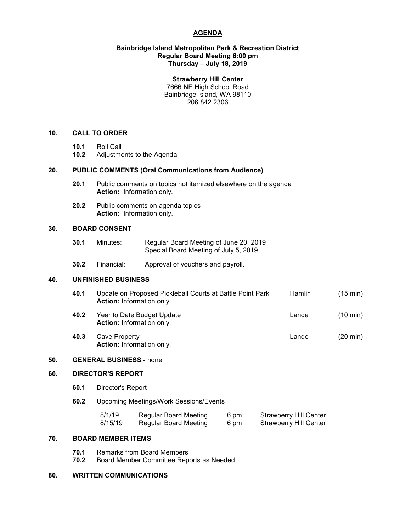# **AGENDA**

### **Bainbridge Island Metropolitan Park & Recreation District Regular Board Meeting 6:00 pm Thursday – July 18, 2019**

#### **Strawberry Hill Center**

7666 NE High School Road Bainbridge Island, WA 98110 206.842.2306

# **10. CALL TO ORDER**

- **10.1** Roll Call
- **10.2** Adjustments to the Agenda

# **20. PUBLIC COMMENTS (Oral Communications from Audience)**

- **20.1** Public comments on topics not itemized elsewhere on the agenda **Action:** Information only.
- **20.2** Public comments on agenda topics **Action:** Information only.

# **30. BOARD CONSENT**

- **30.1** Minutes: Regular Board Meeting of June 20, 2019 Special Board Meeting of July 5, 2019
- **30.2** Financial: Approval of vouchers and payroll.

#### **40. UNFINISHED BUSINESS**

- **40.1** Update on Proposed Pickleball Courts at Battle Point Park Hamlin (15 min) **Action:** Information only.
- **40.2** Year to Date Budget Update **Lande** (10 min) **Action:** Information only.
- **40.3** Cave Property Lande (20 min) **Action:** Information only.

#### **50. GENERAL BUSINESS** - none

#### **60. DIRECTOR'S REPORT**

- **60.1** Director's Report
- **60.2** Upcoming Meetings/Work Sessions/Events

| 8/1/19  | <b>Regular Board Meeting</b> | 6 pm | <b>Strawberry Hill Center</b> |
|---------|------------------------------|------|-------------------------------|
| 8/15/19 | Regular Board Meeting        | 6 pm | <b>Strawberry Hill Center</b> |

# **70. BOARD MEMBER ITEMS**

- **70.1** Remarks from Board Members
- **70.2** Board Member Committee Reports as Needed

# **80. WRITTEN COMMUNICATIONS**